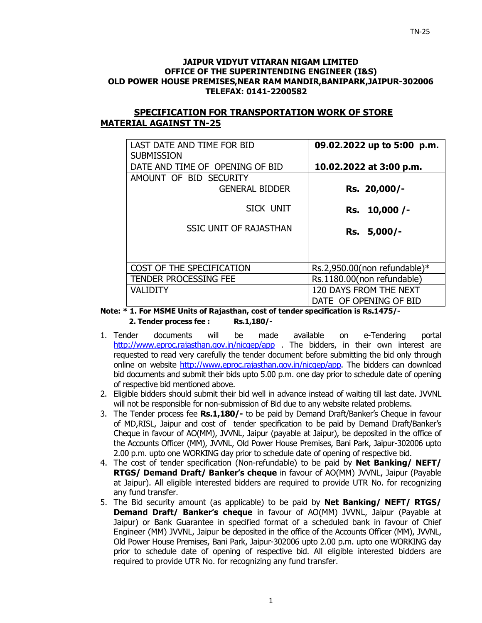#### **JAIPUR VIDYUT VITARAN NIGAM LIMITED OFFICE OF THE SUPERINTENDING ENGINEER (I&S) OLD POWER HOUSE PREMISES,NEAR RAM MANDIR,BANIPARK,JAIPUR-302006 TELEFAX: 0141-2200582**

# **SPECIFICATION FOR TRANSPORTATION WORK OF STORE MATERIAL AGAINST TN-25**

| LAST DATE AND TIME FOR BID<br><b>SUBMISSION</b> | 09.02.2022 up to 5:00 p.m.   |
|-------------------------------------------------|------------------------------|
| DATE AND TIME OF OPENING OF BID                 | 10.02.2022 at 3:00 p.m.      |
| AMOUNT OF BID SECURITY                          |                              |
| <b>GENERAL BIDDER</b>                           | Rs. 20,000/-                 |
| SICK UNIT                                       | Rs. 10,000 /-                |
| <b>SSIC UNIT OF RAJASTHAN</b>                   | Rs. 5,000/-                  |
|                                                 |                              |
| COST OF THE SPECIFICATION                       | Rs.2,950.00(non refundable)* |
| <b>TENDER PROCESSING FEE</b>                    | Rs.1180.00(non refundable)   |
| <b>VALIDITY</b>                                 | 120 DAYS FROM THE NEXT       |
|                                                 | DATE OF OPENING OF BID       |

**Note: \* 1. For MSME Units of Rajasthan, cost of tender specification is Rs.1475/- 2. Tender process fee : Rs.1,180/-** 

- 1. Tender documents will be made available on e-Tendering portal http://www.eproc.rajasthan.gov.in/nicgep/app . The bidders, in their own interest are requested to read very carefully the tender document before submitting the bid only through online on website http://www.eproc.rajasthan.gov.in/nicgep/app. The bidders can download bid documents and submit their bids upto 5.00 p.m. one day prior to schedule date of opening of respective bid mentioned above.
- 2. Eligible bidders should submit their bid well in advance instead of waiting till last date. JVVNL will not be responsible for non-submission of Bid due to any website related problems.
- 3. The Tender process fee **Rs.1,180/-** to be paid by Demand Draft/Banker's Cheque in favour of MD,RISL, Jaipur and cost of tender specification to be paid by Demand Draft/Banker's Cheque in favour of AO(MM), JVVNL, Jaipur (payable at Jaipur), be deposited in the office of the Accounts Officer (MM), JVVNL, Old Power House Premises, Bani Park, Jaipur-302006 upto 2.00 p.m. upto one WORKING day prior to schedule date of opening of respective bid.
- 4. The cost of tender specification (Non-refundable) to be paid by **Net Banking/ NEFT/ RTGS/ Demand Draft/ Banker's cheque** in favour of AO(MM) JVVNL, Jaipur (Payable at Jaipur). All eligible interested bidders are required to provide UTR No. for recognizing any fund transfer.
- 5. The Bid security amount (as applicable) to be paid by **Net Banking/ NEFT/ RTGS/ Demand Draft/ Banker's cheque** in favour of AO(MM) JVVNL, Jaipur (Payable at Jaipur) or Bank Guarantee in specified format of a scheduled bank in favour of Chief Engineer (MM) JVVNL, Jaipur be deposited in the office of the Accounts Officer (MM), JVVNL, Old Power House Premises, Bani Park, Jaipur-302006 upto 2.00 p.m. upto one WORKING day prior to schedule date of opening of respective bid. All eligible interested bidders are required to provide UTR No. for recognizing any fund transfer.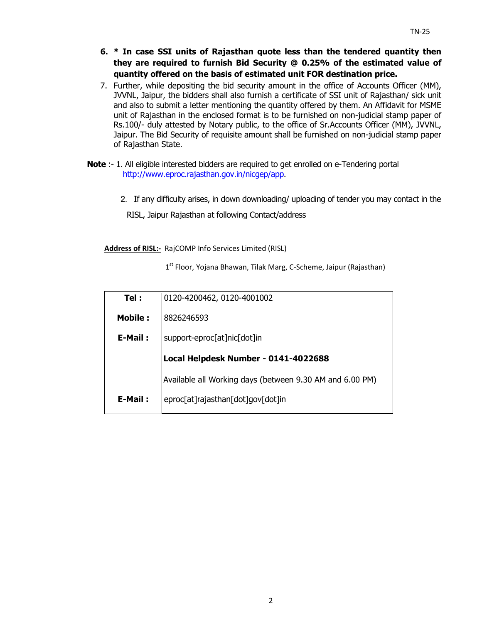- **6. \* In case SSI units of Rajasthan quote less than the tendered quantity then they are required to furnish Bid Security @ 0.25% of the estimated value of quantity offered on the basis of estimated unit FOR destination price.**
- 7. Further, while depositing the bid security amount in the office of Accounts Officer (MM), JVVNL, Jaipur, the bidders shall also furnish a certificate of SSI unit of Rajasthan/ sick unit and also to submit a letter mentioning the quantity offered by them. An Affidavit for MSME unit of Rajasthan in the enclosed format is to be furnished on non-judicial stamp paper of Rs.100/- duly attested by Notary public, to the office of Sr.Accounts Officer (MM), JVVNL, Jaipur. The Bid Security of requisite amount shall be furnished on non-judicial stamp paper of Rajasthan State.
- **Note** :- 1. All eligible interested bidders are required to get enrolled on e-Tendering portal http://www.eproc.rajasthan.gov.in/nicgep/app.
	- 2.If any difficulty arises, in down downloading/ uploading of tender you may contact in the

RISL, Jaipur Rajasthan at following Contact/address

**Address of RISL:-** RajCOMP Info Services Limited (RISL)

 $1<sup>st</sup>$  Floor, Yojana Bhawan, Tilak Marg, C-Scheme, Jaipur (Rajasthan)

| Tel:           | 0120-4200462, 0120-4001002                               |  |  |  |
|----------------|----------------------------------------------------------|--|--|--|
| <b>Mobile:</b> | 8826246593                                               |  |  |  |
| E-Mail:        | support-eproc[at]nic[dot]in                              |  |  |  |
|                | Local Helpdesk Number - 0141-4022688                     |  |  |  |
|                | Available all Working days (between 9.30 AM and 6.00 PM) |  |  |  |
| E-Mail:        | eproc[at]rajasthan[dot]gov[dot]in                        |  |  |  |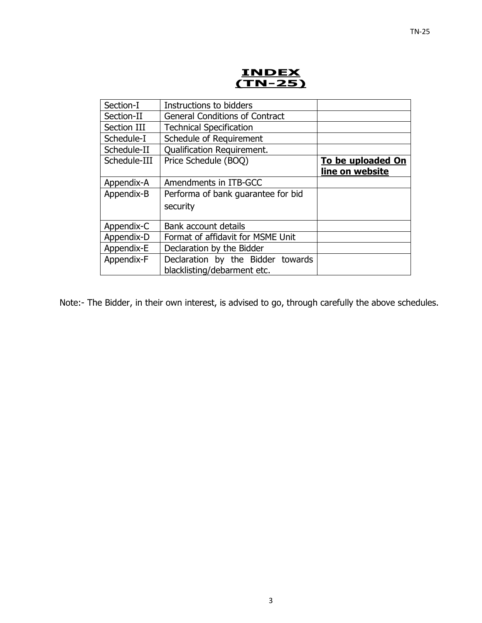

| Instructions to bidders               |                   |
|---------------------------------------|-------------------|
| <b>General Conditions of Contract</b> |                   |
| <b>Technical Specification</b>        |                   |
| Schedule of Requirement               |                   |
| <b>Qualification Requirement.</b>     |                   |
| Price Schedule (BOQ)                  | To be uploaded On |
|                                       | line on website   |
| Amendments in ITB-GCC                 |                   |
| Performa of bank guarantee for bid    |                   |
| security                              |                   |
|                                       |                   |
| Bank account details                  |                   |
| Format of affidavit for MSME Unit     |                   |
| Declaration by the Bidder             |                   |
| Declaration by the Bidder towards     |                   |
| blacklisting/debarment etc.           |                   |
|                                       |                   |

Note:- The Bidder, in their own interest, is advised to go, through carefully the above schedules.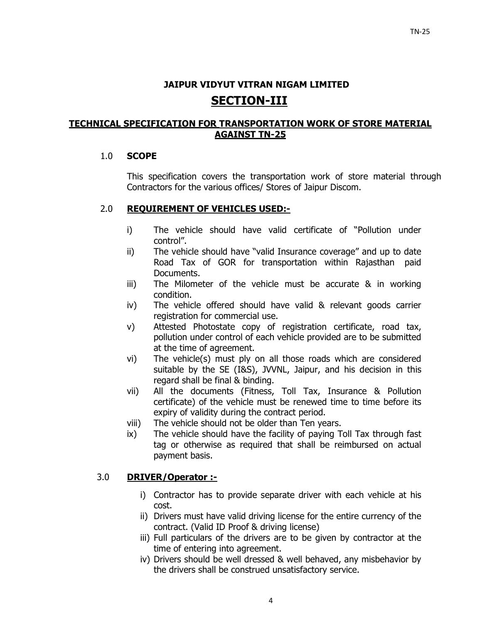# **JAIPUR VIDYUT VITRAN NIGAM LIMITED SECTION-III**

# **TECHNICAL SPECIFICATION FOR TRANSPORTATION WORK OF STORE MATERIAL AGAINST TN-25**

# 1.0 **SCOPE**

This specification covers the transportation work of store material through Contractors for the various offices/ Stores of Jaipur Discom.

# 2.0 **REQUIREMENT OF VEHICLES USED:-**

- i) The vehicle should have valid certificate of "Pollution under control".
- ii) The vehicle should have "valid Insurance coverage" and up to date Road Tax of GOR for transportation within Rajasthan paid Documents.
- iii) The Milometer of the vehicle must be accurate & in working condition.
- iv) The vehicle offered should have valid & relevant goods carrier registration for commercial use.
- v) Attested Photostate copy of registration certificate, road tax, pollution under control of each vehicle provided are to be submitted at the time of agreement.
- vi) The vehicle(s) must ply on all those roads which are considered suitable by the SE (I&S), JVVNL, Jaipur, and his decision in this regard shall be final & binding.
- vii) All the documents (Fitness, Toll Tax, Insurance & Pollution certificate) of the vehicle must be renewed time to time before its expiry of validity during the contract period.
- viii) The vehicle should not be older than Ten years.
- ix) The vehicle should have the facility of paying Toll Tax through fast tag or otherwise as required that shall be reimbursed on actual payment basis.

# 3.0 **DRIVER/Operator :-**

- i) Contractor has to provide separate driver with each vehicle at his cost.
- ii) Drivers must have valid driving license for the entire currency of the contract. (Valid ID Proof & driving license)
- iii) Full particulars of the drivers are to be given by contractor at the time of entering into agreement.
- iv) Drivers should be well dressed & well behaved, any misbehavior by the drivers shall be construed unsatisfactory service.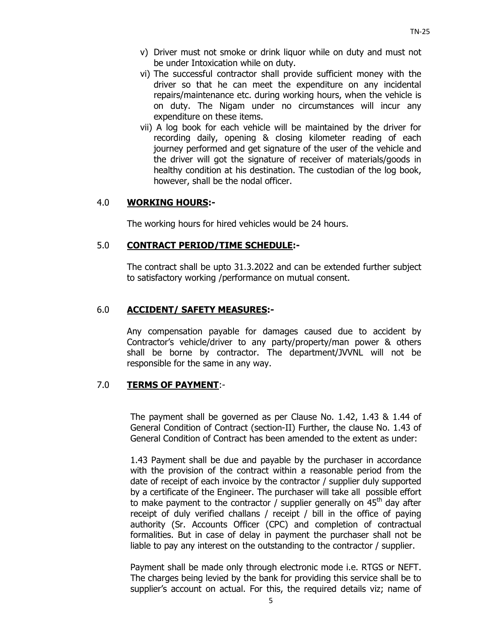- v) Driver must not smoke or drink liquor while on duty and must not be under Intoxication while on duty.
- vi) The successful contractor shall provide sufficient money with the driver so that he can meet the expenditure on any incidental repairs/maintenance etc. during working hours, when the vehicle is on duty. The Nigam under no circumstances will incur any expenditure on these items.
- vii) A log book for each vehicle will be maintained by the driver for recording daily, opening & closing kilometer reading of each journey performed and get signature of the user of the vehicle and the driver will got the signature of receiver of materials/goods in healthy condition at his destination. The custodian of the log book, however, shall be the nodal officer.

#### 4.0 **WORKING HOURS:-**

The working hours for hired vehicles would be 24 hours.

#### 5.0 **CONTRACT PERIOD/TIME SCHEDULE:-**

The contract shall be upto 31.3.2022 and can be extended further subject to satisfactory working /performance on mutual consent.

#### 6.0 **ACCIDENT/ SAFETY MEASURES:-**

Any compensation payable for damages caused due to accident by Contractor's vehicle/driver to any party/property/man power & others shall be borne by contractor. The department/JVVNL will not be responsible for the same in any way.

## 7.0 **TERMS OF PAYMENT**:-

The payment shall be governed as per Clause No. 1.42, 1.43 & 1.44 of General Condition of Contract (section-II) Further, the clause No. 1.43 of General Condition of Contract has been amended to the extent as under:

1.43 Payment shall be due and payable by the purchaser in accordance with the provision of the contract within a reasonable period from the date of receipt of each invoice by the contractor / supplier duly supported by a certificate of the Engineer. The purchaser will take all possible effort to make payment to the contractor / supplier generally on  $45<sup>th</sup>$  day after receipt of duly verified challans / receipt / bill in the office of paying authority (Sr. Accounts Officer (CPC) and completion of contractual formalities. But in case of delay in payment the purchaser shall not be liable to pay any interest on the outstanding to the contractor / supplier.

Payment shall be made only through electronic mode i.e. RTGS or NEFT. The charges being levied by the bank for providing this service shall be to supplier's account on actual. For this, the required details viz; name of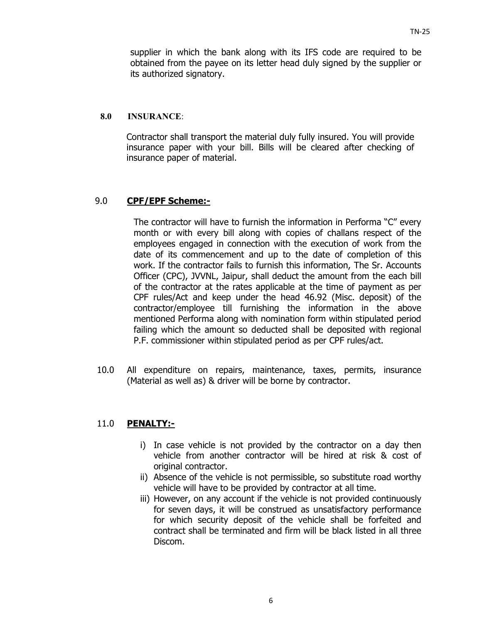supplier in which the bank along with its IFS code are required to be obtained from the payee on its letter head duly signed by the supplier or its authorized signatory.

#### **8.0 INSURANCE**:

Contractor shall transport the material duly fully insured. You will provide insurance paper with your bill. Bills will be cleared after checking of insurance paper of material.

## 9.0 **CPF/EPF Scheme:-**

The contractor will have to furnish the information in Performa "C" every month or with every bill along with copies of challans respect of the employees engaged in connection with the execution of work from the date of its commencement and up to the date of completion of this work. If the contractor fails to furnish this information, The Sr. Accounts Officer (CPC), JVVNL, Jaipur, shall deduct the amount from the each bill of the contractor at the rates applicable at the time of payment as per CPF rules/Act and keep under the head 46.92 (Misc. deposit) of the contractor/employee till furnishing the information in the above mentioned Performa along with nomination form within stipulated period failing which the amount so deducted shall be deposited with regional P.F. commissioner within stipulated period as per CPF rules/act.

10.0 All expenditure on repairs, maintenance, taxes, permits, insurance (Material as well as) & driver will be borne by contractor.

# 11.0 **PENALTY:-**

- i) In case vehicle is not provided by the contractor on a day then vehicle from another contractor will be hired at risk & cost of original contractor.
- ii) Absence of the vehicle is not permissible, so substitute road worthy vehicle will have to be provided by contractor at all time.
- iii) However, on any account if the vehicle is not provided continuously for seven days, it will be construed as unsatisfactory performance for which security deposit of the vehicle shall be forfeited and contract shall be terminated and firm will be black listed in all three Discom.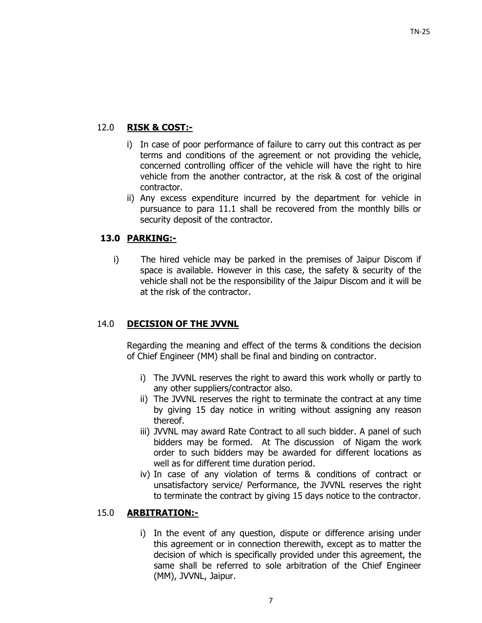# 12.0 **RISK & COST:-**

- i) In case of poor performance of failure to carry out this contract as per terms and conditions of the agreement or not providing the vehicle, concerned controlling officer of the vehicle will have the right to hire vehicle from the another contractor, at the risk & cost of the original contractor.
- ii) Any excess expenditure incurred by the department for vehicle in pursuance to para 11.1 shall be recovered from the monthly bills or security deposit of the contractor.

# **13.0 PARKING:-**

i) The hired vehicle may be parked in the premises of Jaipur Discom if space is available. However in this case, the safety & security of the vehicle shall not be the responsibility of the Jaipur Discom and it will be at the risk of the contractor.

# 14.0 **DECISION OF THE JVVNL**

Regarding the meaning and effect of the terms & conditions the decision of Chief Engineer (MM) shall be final and binding on contractor.

- i) The JVVNL reserves the right to award this work wholly or partly to any other suppliers/contractor also.
- ii) The JVVNL reserves the right to terminate the contract at any time by giving 15 day notice in writing without assigning any reason thereof.
- iii) JVVNL may award Rate Contract to all such bidder. A panel of such bidders may be formed. At The discussion of Nigam the work order to such bidders may be awarded for different locations as well as for different time duration period.
- iv) In case of any violation of terms & conditions of contract or unsatisfactory service/ Performance, the JVVNL reserves the right to terminate the contract by giving 15 days notice to the contractor.

# 15.0 **ARBITRATION:-**

i) In the event of any question, dispute or difference arising under this agreement or in connection therewith, except as to matter the decision of which is specifically provided under this agreement, the same shall be referred to sole arbitration of the Chief Engineer (MM), JVVNL, Jaipur.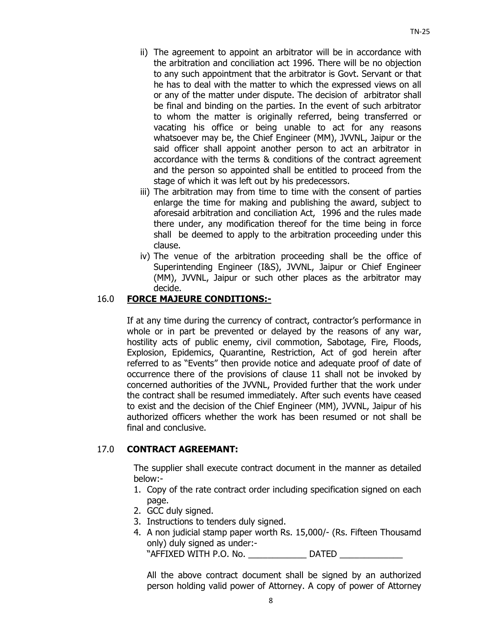- ii) The agreement to appoint an arbitrator will be in accordance with the arbitration and conciliation act 1996. There will be no objection to any such appointment that the arbitrator is Govt. Servant or that he has to deal with the matter to which the expressed views on all or any of the matter under dispute. The decision of arbitrator shall be final and binding on the parties. In the event of such arbitrator to whom the matter is originally referred, being transferred or vacating his office or being unable to act for any reasons whatsoever may be, the Chief Engineer (MM), JVVNL, Jaipur or the said officer shall appoint another person to act an arbitrator in accordance with the terms & conditions of the contract agreement and the person so appointed shall be entitled to proceed from the stage of which it was left out by his predecessors.
- iii) The arbitration may from time to time with the consent of parties enlarge the time for making and publishing the award, subject to aforesaid arbitration and conciliation Act, 1996 and the rules made there under, any modification thereof for the time being in force shall be deemed to apply to the arbitration proceeding under this clause.
- iv) The venue of the arbitration proceeding shall be the office of Superintending Engineer (I&S), JVVNL, Jaipur or Chief Engineer (MM), JVVNL, Jaipur or such other places as the arbitrator may decide.

## 16.0 **FORCE MAJEURE CONDITIONS:-**

 If at any time during the currency of contract, contractor's performance in whole or in part be prevented or delayed by the reasons of any war, hostility acts of public enemy, civil commotion, Sabotage, Fire, Floods, Explosion, Epidemics, Quarantine, Restriction, Act of god herein after referred to as "Events" then provide notice and adequate proof of date of occurrence there of the provisions of clause 11 shall not be invoked by concerned authorities of the JVVNL, Provided further that the work under the contract shall be resumed immediately. After such events have ceased to exist and the decision of the Chief Engineer (MM), JVVNL, Jaipur of his authorized officers whether the work has been resumed or not shall be final and conclusive.

#### 17.0 **CONTRACT AGREEMANT:**

The supplier shall execute contract document in the manner as detailed below:-

- 1. Copy of the rate contract order including specification signed on each page.
- 2. GCC duly signed.
- 3. Instructions to tenders duly signed.
- 4. A non judicial stamp paper worth Rs. 15,000/- (Rs. Fifteen Thousamd only) duly signed as under:- "AFFIXED WITH P.O. No. \_\_\_\_\_\_\_\_\_\_\_\_\_ DATED

All the above contract document shall be signed by an authorized person holding valid power of Attorney. A copy of power of Attorney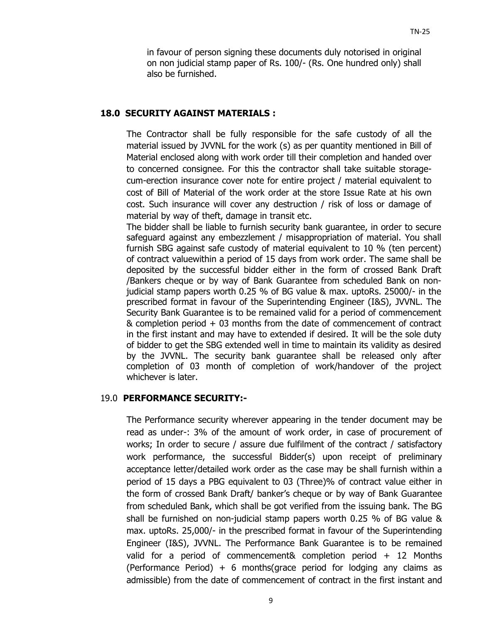in favour of person signing these documents duly notorised in original on non judicial stamp paper of Rs. 100/- (Rs. One hundred only) shall also be furnished.

#### **18.0 SECURITY AGAINST MATERIALS :**

The Contractor shall be fully responsible for the safe custody of all the material issued by JVVNL for the work (s) as per quantity mentioned in Bill of Material enclosed along with work order till their completion and handed over to concerned consignee. For this the contractor shall take suitable storagecum-erection insurance cover note for entire project / material equivalent to cost of Bill of Material of the work order at the store Issue Rate at his own cost. Such insurance will cover any destruction / risk of loss or damage of material by way of theft, damage in transit etc.

The bidder shall be liable to furnish security bank guarantee, in order to secure safeguard against any embezzlement / misappropriation of material. You shall furnish SBG against safe custody of material equivalent to 10 % (ten percent) of contract valuewithin a period of 15 days from work order. The same shall be deposited by the successful bidder either in the form of crossed Bank Draft /Bankers cheque or by way of Bank Guarantee from scheduled Bank on nonjudicial stamp papers worth 0.25 % of BG value & max. uptoRs. 25000/- in the prescribed format in favour of the Superintending Engineer (I&S), JVVNL. The Security Bank Guarantee is to be remained valid for a period of commencement & completion period + 03 months from the date of commencement of contract in the first instant and may have to extended if desired. It will be the sole duty of bidder to get the SBG extended well in time to maintain its validity as desired by the JVVNL. The security bank guarantee shall be released only after completion of 03 month of completion of work/handover of the project whichever is later.

### 19.0 **PERFORMANCE SECURITY:-**

The Performance security wherever appearing in the tender document may be read as under-: 3% of the amount of work order, in case of procurement of works; In order to secure / assure due fulfilment of the contract / satisfactory work performance, the successful Bidder(s) upon receipt of preliminary acceptance letter/detailed work order as the case may be shall furnish within a period of 15 days a PBG equivalent to 03 (Three)% of contract value either in the form of crossed Bank Draft/ banker's cheque or by way of Bank Guarantee from scheduled Bank, which shall be got verified from the issuing bank. The BG shall be furnished on non-judicial stamp papers worth 0.25 % of BG value & max. uptoRs. 25,000/- in the prescribed format in favour of the Superintending Engineer (I&S), JVVNL. The Performance Bank Guarantee is to be remained valid for a period of commencement& completion period + 12 Months (Performance Period) + 6 months(grace period for lodging any claims as admissible) from the date of commencement of contract in the first instant and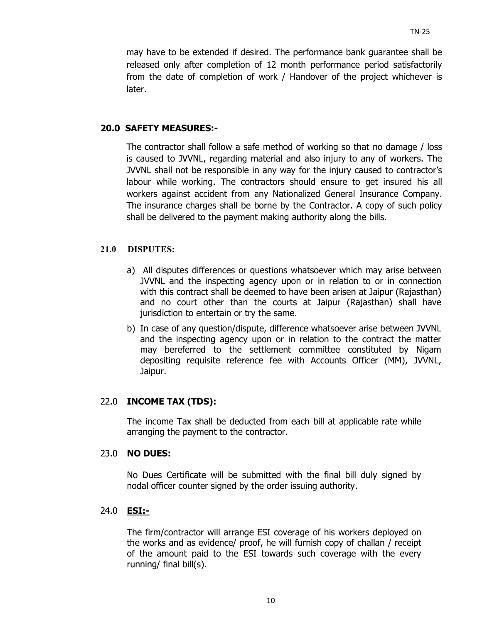may have to be extended if desired. The performance bank guarantee shall be released only after completion of 12 month performance period satisfactorily from the date of completion of work / Handover of the project whichever is later.

### **20.0 SAFETY MEASURES:-**

The contractor shall follow a safe method of working so that no damage / loss is caused to JVVNL, regarding material and also injury to any of workers. The JVVNL shall not be responsible in any way for the injury caused to contractor's labour while working. The contractors should ensure to get insured his all workers against accident from any Nationalized General Insurance Company. The insurance charges shall be borne by the Contractor. A copy of such policy shall be delivered to the payment making authority along the bills.

#### **21.0 DISPUTES:**

- a) All disputes differences or questions whatsoever which may arise between JVVNL and the inspecting agency upon or in relation to or in connection with this contract shall be deemed to have been arisen at Jaipur (Rajasthan) and no court other than the courts at Jaipur (Rajasthan) shall have jurisdiction to entertain or try the same.
- b) In case of any question/dispute, difference whatsoever arise between JVVNL and the inspecting agency upon or in relation to the contract the matter may bereferred to the settlement committee constituted by Nigam depositing requisite reference fee with Accounts Officer (MM), JVVNL, Jaipur.

# 22.0 **INCOME TAX (TDS):**

The income Tax shall be deducted from each bill at applicable rate while arranging the payment to the contractor.

#### 23.0 **NO DUES:**

No Dues Certificate will be submitted with the final bill duly signed by nodal officer counter signed by the order issuing authority.

# 24.0 **ESI:-**

The firm/contractor will arrange ESI coverage of his workers deployed on the works and as evidence/ proof, he will furnish copy of challan / receipt of the amount paid to the ESI towards such coverage with the every running/ final bill(s).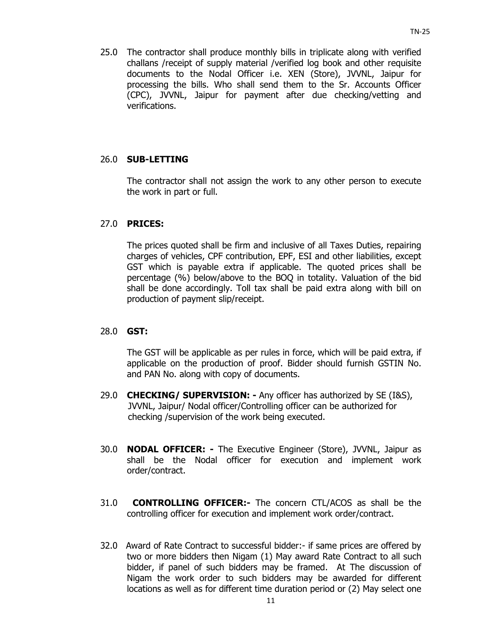25.0 The contractor shall produce monthly bills in triplicate along with verified challans /receipt of supply material /verified log book and other requisite documents to the Nodal Officer i.e. XEN (Store), JVVNL, Jaipur for processing the bills. Who shall send them to the Sr. Accounts Officer (CPC), JVVNL, Jaipur for payment after due checking/vetting and verifications.

## 26.0 **SUB-LETTING**

 The contractor shall not assign the work to any other person to execute the work in part or full.

#### 27.0 **PRICES:**

 The prices quoted shall be firm and inclusive of all Taxes Duties, repairing charges of vehicles, CPF contribution, EPF, ESI and other liabilities, except GST which is payable extra if applicable. The quoted prices shall be percentage (%) below/above to the BOQ in totality. Valuation of the bid shall be done accordingly. Toll tax shall be paid extra along with bill on production of payment slip/receipt.

#### 28.0 **GST:**

The GST will be applicable as per rules in force, which will be paid extra, if applicable on the production of proof. Bidder should furnish GSTIN No. and PAN No. along with copy of documents.

- 29.0 **CHECKING/ SUPERVISION:** Any officer has authorized by SE (I&S), JVVNL, Jaipur/ Nodal officer/Controlling officer can be authorized for checking /supervision of the work being executed.
- 30.0 **NODAL OFFICER:** The Executive Engineer (Store), JVVNL, Jaipur as shall be the Nodal officer for execution and implement work order/contract.
- 31.0 **CONTROLLING OFFICER:-** The concern CTL/ACOS as shall be the controlling officer for execution and implement work order/contract.
- 32.0Award of Rate Contract to successful bidder:- if same prices are offered by two or more bidders then Nigam (1) May award Rate Contract to all such bidder, if panel of such bidders may be framed. At The discussion of Nigam the work order to such bidders may be awarded for different locations as well as for different time duration period or (2) May select one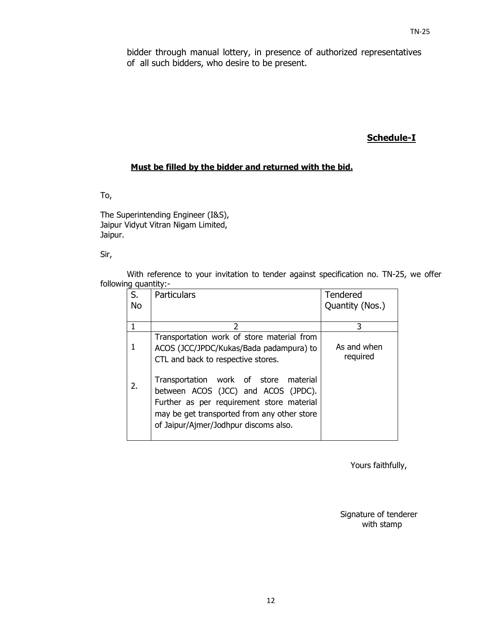bidder through manual lottery, in presence of authorized representatives of all such bidders, who desire to be present.

# **Schedule-I**

#### **Must be filled by the bidder and returned with the bid.**

To,

The Superintending Engineer (I&S), Jaipur Vidyut Vitran Nigam Limited, Jaipur.

Sir,

With reference to your invitation to tender against specification no. TN-25, we offer following quantity:-

| S.<br><b>No</b> | <b>Particulars</b>                                                                                                                                                                                                   | <b>Tendered</b><br>Quantity (Nos.) |
|-----------------|----------------------------------------------------------------------------------------------------------------------------------------------------------------------------------------------------------------------|------------------------------------|
|                 | 2                                                                                                                                                                                                                    | 3                                  |
|                 | Transportation work of store material from<br>ACOS (JCC/JPDC/Kukas/Bada padampura) to<br>CTL and back to respective stores.                                                                                          | As and when<br>required            |
| 2.              | Transportation work of store<br>material<br>between ACOS (JCC) and ACOS (JPDC).<br>Further as per requirement store material<br>may be get transported from any other store<br>of Jaipur/Ajmer/Jodhpur discoms also. |                                    |

Yours faithfully,

Signature of tenderer with stamp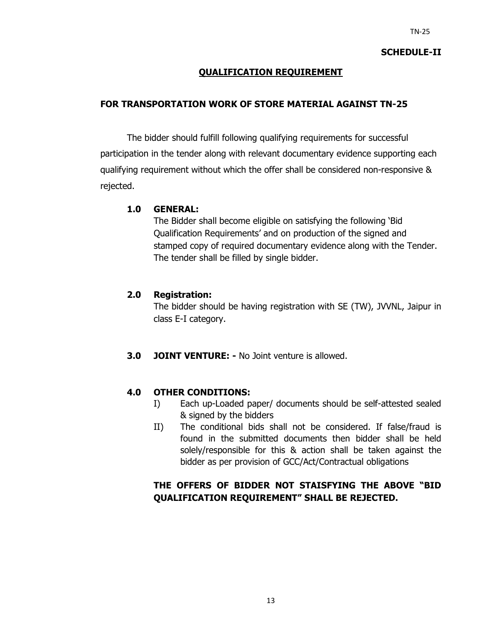#### **SCHEDULE-II**

## **QUALIFICATION REQUIREMENT**

### **FOR TRANSPORTATION WORK OF STORE MATERIAL AGAINST TN-25**

The bidder should fulfill following qualifying requirements for successful participation in the tender along with relevant documentary evidence supporting each qualifying requirement without which the offer shall be considered non-responsive & rejected.

#### **1.0 GENERAL:**

The Bidder shall become eligible on satisfying the following 'Bid Qualification Requirements' and on production of the signed and stamped copy of required documentary evidence along with the Tender. The tender shall be filled by single bidder.

#### **2.0 Registration:**

The bidder should be having registration with SE (TW), JVVNL, Jaipur in class E-I category.

**3.0 JOINT VENTURE: -** No Joint venture is allowed.

#### **4.0 OTHER CONDITIONS:**

- I) Each up-Loaded paper/ documents should be self-attested sealed & signed by the bidders
- II) The conditional bids shall not be considered. If false/fraud is found in the submitted documents then bidder shall be held solely/responsible for this & action shall be taken against the bidder as per provision of GCC/Act/Contractual obligations

# **THE OFFERS OF BIDDER NOT STAISFYING THE ABOVE "BID QUALIFICATION REQUIREMENT" SHALL BE REJECTED.**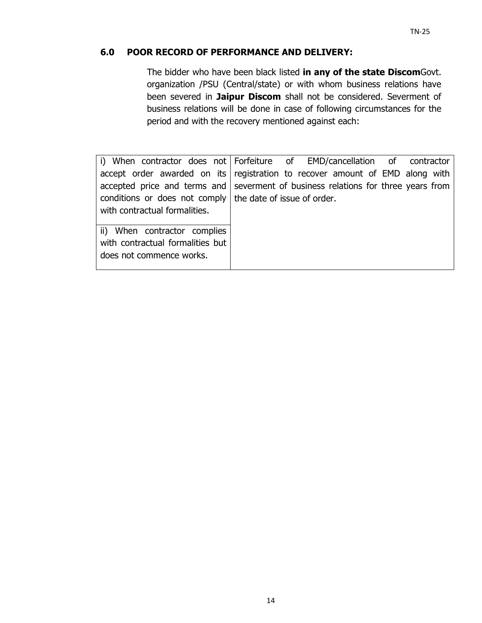# **6.0 POOR RECORD OF PERFORMANCE AND DELIVERY:**

The bidder who have been black listed **in any of the state Discom**Govt. organization /PSU (Central/state) or with whom business relations have been severed in **Jaipur Discom** shall not be considered. Severment of business relations will be done in case of following circumstances for the period and with the recovery mentioned against each:

i) When contractor does not Forfeiture accept order awarded on its accepted price and terms and conditions or does not comply with contractual formalities. of EMD/cancellation of contractor registration to recover amount of EMD along with severment of business relations for three years from the date of issue of order. ii) When contractor complies with contractual formalities but does not commence works.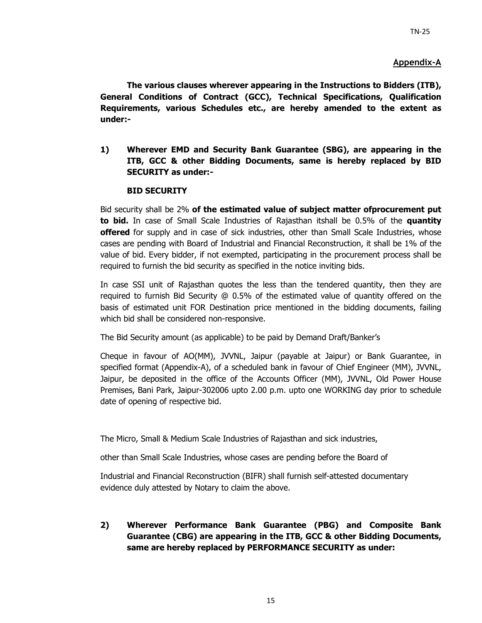#### **Appendix-A**

**The various clauses wherever appearing in the Instructions to Bidders (ITB), General Conditions of Contract (GCC), Technical Specifications, Qualification Requirements, various Schedules etc., are hereby amended to the extent as under:-** 

**1) Wherever EMD and Security Bank Guarantee (SBG), are appearing in the ITB, GCC & other Bidding Documents, same is hereby replaced by BID SECURITY as under:-** 

#### **BID SECURITY**

Bid security shall be 2% **of the estimated value of subject matter ofprocurement put to bid.** In case of Small Scale Industries of Rajasthan itshall be 0.5% of the **quantity offered** for supply and in case of sick industries, other than Small Scale Industries, whose cases are pending with Board of Industrial and Financial Reconstruction, it shall be 1% of the value of bid. Every bidder, if not exempted, participating in the procurement process shall be required to furnish the bid security as specified in the notice inviting bids.

In case SSI unit of Rajasthan quotes the less than the tendered quantity, then they are required to furnish Bid Security @ 0.5% of the estimated value of quantity offered on the basis of estimated unit FOR Destination price mentioned in the bidding documents, failing which bid shall be considered non-responsive.

The Bid Security amount (as applicable) to be paid by Demand Draft/Banker's

Cheque in favour of AO(MM), JVVNL, Jaipur (payable at Jaipur) or Bank Guarantee, in specified format (Appendix-A), of a scheduled bank in favour of Chief Engineer (MM), JVVNL, Jaipur, be deposited in the office of the Accounts Officer (MM), JVVNL, Old Power House Premises, Bani Park, Jaipur-302006 upto 2.00 p.m. upto one WORKING day prior to schedule date of opening of respective bid.

The Micro, Small & Medium Scale Industries of Rajasthan and sick industries,

other than Small Scale Industries, whose cases are pending before the Board of

Industrial and Financial Reconstruction (BIFR) shall furnish self-attested documentary evidence duly attested by Notary to claim the above.

**2) Wherever Performance Bank Guarantee (PBG) and Composite Bank Guarantee (CBG) are appearing in the ITB, GCC & other Bidding Documents, same are hereby replaced by PERFORMANCE SECURITY as under:**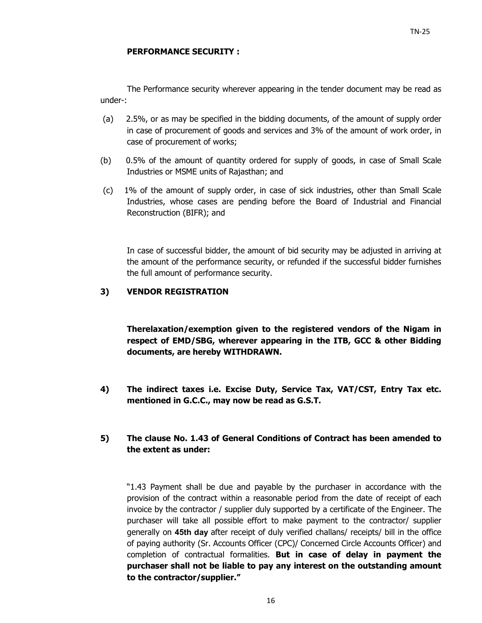#### **PERFORMANCE SECURITY :**

The Performance security wherever appearing in the tender document may be read as under-:

- (a) 2.5%, or as may be specified in the bidding documents, of the amount of supply order in case of procurement of goods and services and 3% of the amount of work order, in case of procurement of works;
- (b) 0.5% of the amount of quantity ordered for supply of goods, in case of Small Scale Industries or MSME units of Rajasthan; and
- (c) 1% of the amount of supply order, in case of sick industries, other than Small Scale Industries, whose cases are pending before the Board of Industrial and Financial Reconstruction (BIFR); and

In case of successful bidder, the amount of bid security may be adjusted in arriving at the amount of the performance security, or refunded if the successful bidder furnishes the full amount of performance security.

#### **3) VENDOR REGISTRATION**

**Therelaxation/exemption given to the registered vendors of the Nigam in respect of EMD/SBG, wherever appearing in the ITB, GCC & other Bidding documents, are hereby WITHDRAWN.** 

**4) The indirect taxes i.e. Excise Duty, Service Tax, VAT/CST, Entry Tax etc. mentioned in G.C.C., may now be read as G.S.T.** 

#### **5) The clause No. 1.43 of General Conditions of Contract has been amended to the extent as under:**

"1.43 Payment shall be due and payable by the purchaser in accordance with the provision of the contract within a reasonable period from the date of receipt of each invoice by the contractor / supplier duly supported by a certificate of the Engineer. The purchaser will take all possible effort to make payment to the contractor/ supplier generally on **45th day** after receipt of duly verified challans/ receipts/ bill in the office of paying authority (Sr. Accounts Officer (CPC)/ Concerned Circle Accounts Officer) and completion of contractual formalities. **But in case of delay in payment the purchaser shall not be liable to pay any interest on the outstanding amount to the contractor/supplier."**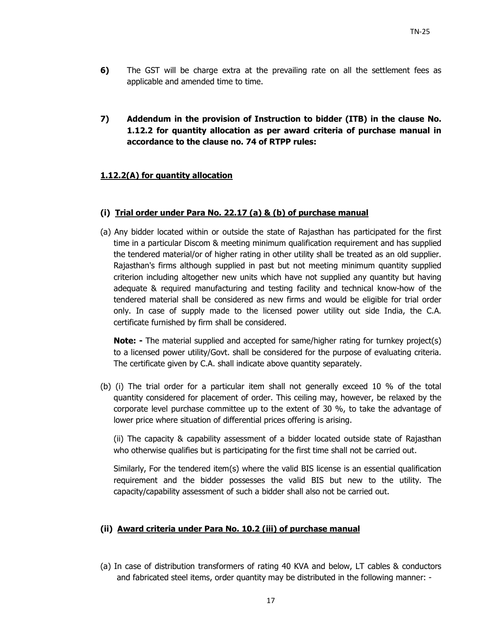- **6)** The GST will be charge extra at the prevailing rate on all the settlement fees as applicable and amended time to time.
- **7) Addendum in the provision of Instruction to bidder (ITB) in the clause No. 1.12.2 for quantity allocation as per award criteria of purchase manual in accordance to the clause no. 74 of RTPP rules:**

#### **1.12.2(A) for quantity allocation**

#### **(i) Trial order under Para No. 22.17 (a) & (b) of purchase manual**

(a) Any bidder located within or outside the state of Rajasthan has participated for the first time in a particular Discom & meeting minimum qualification requirement and has supplied the tendered material/or of higher rating in other utility shall be treated as an old supplier. Rajasthan's firms although supplied in past but not meeting minimum quantity supplied criterion including altogether new units which have not supplied any quantity but having adequate & required manufacturing and testing facility and technical know-how of the tendered material shall be considered as new firms and would be eligible for trial order only. In case of supply made to the licensed power utility out side India, the C.A. certificate furnished by firm shall be considered.

**Note:** - The material supplied and accepted for same/higher rating for turnkey project(s) to a licensed power utility/Govt. shall be considered for the purpose of evaluating criteria. The certificate given by C.A. shall indicate above quantity separately.

(b) (i) The trial order for a particular item shall not generally exceed 10 % of the total quantity considered for placement of order. This ceiling may, however, be relaxed by the corporate level purchase committee up to the extent of 30 %, to take the advantage of lower price where situation of differential prices offering is arising.

(ii) The capacity & capability assessment of a bidder located outside state of Rajasthan who otherwise qualifies but is participating for the first time shall not be carried out.

Similarly, For the tendered item(s) where the valid BIS license is an essential qualification requirement and the bidder possesses the valid BIS but new to the utility. The capacity/capability assessment of such a bidder shall also not be carried out.

#### **(ii) Award criteria under Para No. 10.2 (iii) of purchase manual**

(a) In case of distribution transformers of rating 40 KVA and below, LT cables & conductors and fabricated steel items, order quantity may be distributed in the following manner: -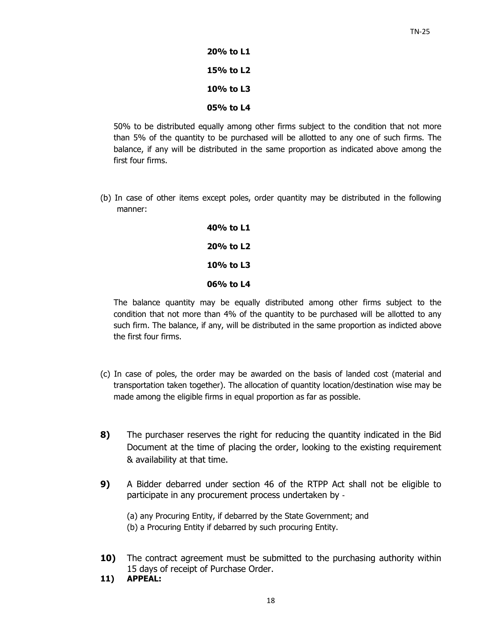**20% to L1 15% to L2 10% to L3 05% to L4** 

50% to be distributed equally among other firms subject to the condition that not more than 5% of the quantity to be purchased will be allotted to any one of such firms. The balance, if any will be distributed in the same proportion as indicated above among the first four firms.

(b) In case of other items except poles, order quantity may be distributed in the following manner:

> **40% to L1 20% to L2 10% to L3 06% to L4**

The balance quantity may be equally distributed among other firms subject to the condition that not more than 4% of the quantity to be purchased will be allotted to any such firm. The balance, if any, will be distributed in the same proportion as indicted above the first four firms.

- (c) In case of poles, the order may be awarded on the basis of landed cost (material and transportation taken together). The allocation of quantity location/destination wise may be made among the eligible firms in equal proportion as far as possible.
- **8)** The purchaser reserves the right for reducing the quantity indicated in the Bid Document at the time of placing the order, looking to the existing requirement & availability at that time.
- **9)** A Bidder debarred under section 46 of the RTPP Act shall not be eligible to participate in any procurement process undertaken by ‐

(a) any Procuring Entity, if debarred by the State Government; and (b) a Procuring Entity if debarred by such procuring Entity.

- **10)** The contract agreement must be submitted to the purchasing authority within 15 days of receipt of Purchase Order.
- **11) APPEAL:**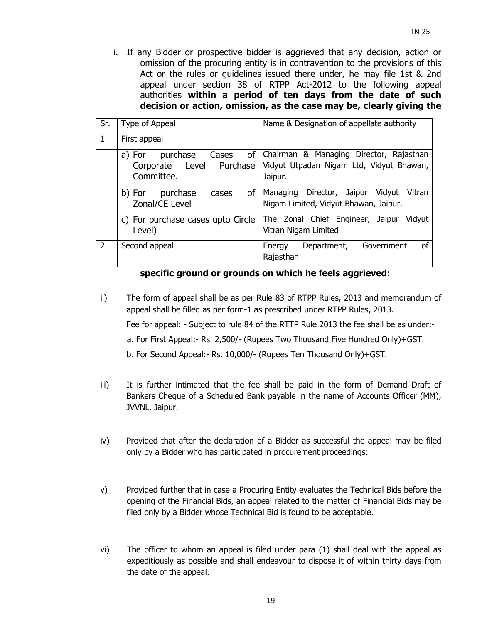i. If any Bidder or prospective bidder is aggrieved that any decision, action or omission of the procuring entity is in contravention to the provisions of this Act or the rules or guidelines issued there under, he may file 1st & 2nd appeal under section 38 of RTPP Act-2012 to the following appeal authorities **within a period of ten days from the date of such decision or action, omission, as the case may be, clearly giving the** 

| Sr.            | Type of Appeal                                                              | Name & Designation of appellate authority                                                      |  |  |
|----------------|-----------------------------------------------------------------------------|------------------------------------------------------------------------------------------------|--|--|
| $\mathbf{1}$   | First appeal                                                                |                                                                                                |  |  |
|                | of<br>Cases<br>purchase<br>a) For<br>Corporate Level Purchase<br>Committee. | Chairman & Managing Director, Rajasthan<br>Vidyut Utpadan Nigam Ltd, Vidyut Bhawan,<br>Jaipur. |  |  |
|                | <b>of</b><br>purchase<br>b) For<br>cases<br>Zonal/CE Level                  | Director, Jaipur<br>Vidyut<br>Vitran<br>Managing<br>Nigam Limited, Vidyut Bhawan, Jaipur.      |  |  |
|                | c) For purchase cases upto Circle<br>Level)                                 | The Zonal Chief Engineer, Jaipur<br>Vidyut<br>Vitran Nigam Limited                             |  |  |
| $\overline{2}$ | Second appeal                                                               | οf<br>Department,<br>Government<br>Energy<br>Rajasthan                                         |  |  |

#### **specific ground or grounds on which he feels aggrieved:**

- ii) The form of appeal shall be as per Rule 83 of RTPP Rules, 2013 and memorandum of appeal shall be filled as per form-1 as prescribed under RTPP Rules, 2013. Fee for appeal: - Subject to rule 84 of the RTTP Rule 2013 the fee shall be as under: a. For First Appeal:- Rs. 2,500/- (Rupees Two Thousand Five Hundred Only)+GST. b. For Second Appeal:- Rs. 10,000/- (Rupees Ten Thousand Only)+GST.
- iii) It is further intimated that the fee shall be paid in the form of Demand Draft of Bankers Cheque of a Scheduled Bank payable in the name of Accounts Officer (MM), JVVNL, Jaipur.
- iv) Provided that after the declaration of a Bidder as successful the appeal may be filed only by a Bidder who has participated in procurement proceedings:
- v) Provided further that in case a Procuring Entity evaluates the Technical Bids before the opening of the Financial Bids, an appeal related to the matter of Financial Bids may be filed only by a Bidder whose Technical Bid is found to be acceptable.
- vi) The officer to whom an appeal is filed under para (1) shall deal with the appeal as expeditiously as possible and shall endeavour to dispose it of within thirty days from the date of the appeal.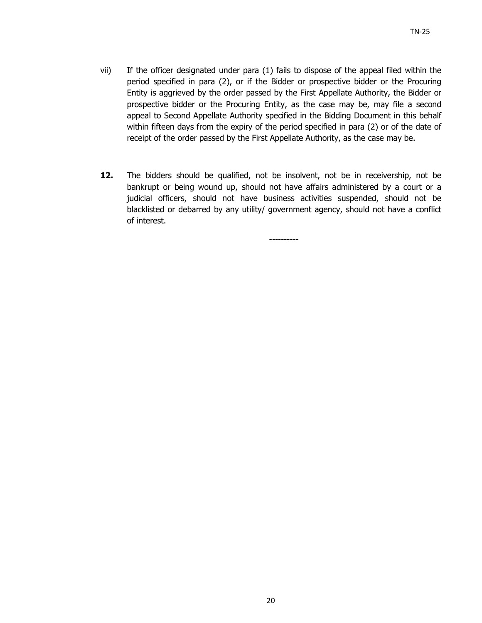- vii) If the officer designated under para (1) fails to dispose of the appeal filed within the period specified in para (2), or if the Bidder or prospective bidder or the Procuring Entity is aggrieved by the order passed by the First Appellate Authority, the Bidder or prospective bidder or the Procuring Entity, as the case may be, may file a second appeal to Second Appellate Authority specified in the Bidding Document in this behalf within fifteen days from the expiry of the period specified in para (2) or of the date of receipt of the order passed by the First Appellate Authority, as the case may be.
- **12.** The bidders should be qualified, not be insolvent, not be in receivership, not be bankrupt or being wound up, should not have affairs administered by a court or a judicial officers, should not have business activities suspended, should not be blacklisted or debarred by any utility/ government agency, should not have a conflict of interest.

----------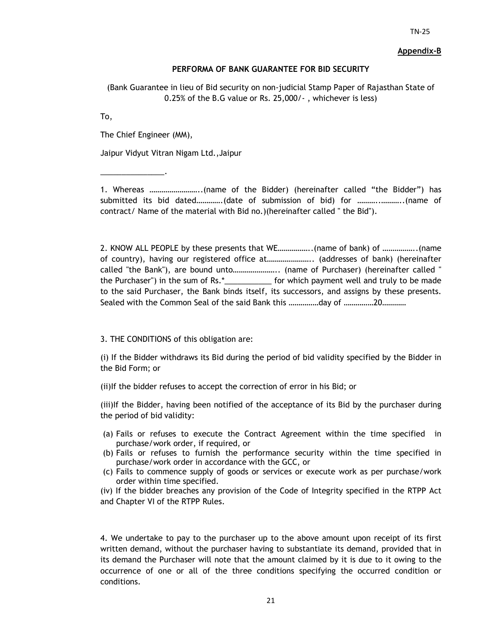#### **Appendix-B**

#### **PERFORMA OF BANK GUARANTEE FOR BID SECURITY**

(Bank Guarantee in lieu of Bid security on non-judicial Stamp Paper of Rajasthan State of 0.25% of the B.G value or Rs. 25,000/- , whichever is less)

To,

The Chief Engineer (MM),

\_\_\_\_\_\_\_\_\_\_\_\_\_\_\_.

Jaipur Vidyut Vitran Nigam Ltd.,Jaipur

1. Whereas ……………………..(name of the Bidder) (hereinafter called "the Bidder") has submitted its bid dated………….(date of submission of bid) for ………..………..(name of contract/ Name of the material with Bid no.)(hereinafter called " the Bid").

2. KNOW ALL PEOPLE by these presents that WE……………..(name of bank) of ……………..(name of country), having our registered office at………………….. (addresses of bank) (hereinafter called "the Bank"), are bound unto………………….. (name of Purchaser) (hereinafter called " the Purchaser") in the sum of Rs.\*\_\_\_\_\_\_\_\_\_\_\_ for which payment well and truly to be made to the said Purchaser, the Bank binds itself, its successors, and assigns by these presents. Sealed with the Common Seal of the said Bank this ……………day of ……………20…………

3. THE CONDITIONS of this obligation are:

(i) If the Bidder withdraws its Bid during the period of bid validity specified by the Bidder in the Bid Form; or

(ii)If the bidder refuses to accept the correction of error in his Bid; or

(iii)If the Bidder, having been notified of the acceptance of its Bid by the purchaser during the period of bid validity:

- (a) Fails or refuses to execute the Contract Agreement within the time specified in purchase/work order, if required, or
- (b) Fails or refuses to furnish the performance security within the time specified in purchase/work order in accordance with the GCC, or
- (c) Fails to commence supply of goods or services or execute work as per purchase/work order within time specified.

(iv) If the bidder breaches any provision of the Code of Integrity specified in the RTPP Act and Chapter VI of the RTPP Rules.

4. We undertake to pay to the purchaser up to the above amount upon receipt of its first written demand, without the purchaser having to substantiate its demand, provided that in its demand the Purchaser will note that the amount claimed by it is due to it owing to the occurrence of one or all of the three conditions specifying the occurred condition or conditions.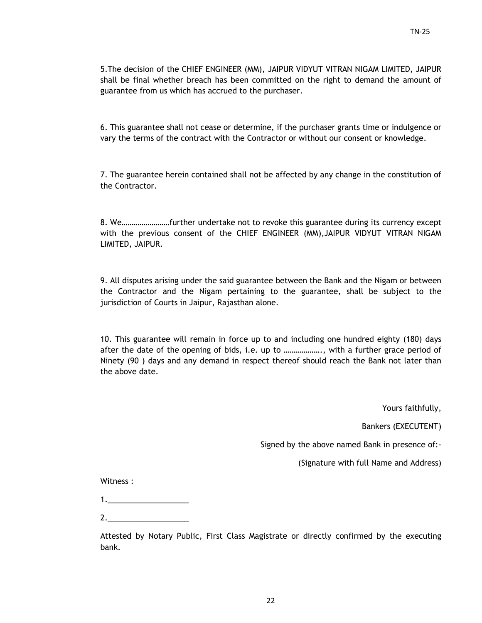5.The decision of the CHIEF ENGINEER (MM), JAIPUR VIDYUT VITRAN NIGAM LIMITED, JAIPUR shall be final whether breach has been committed on the right to demand the amount of guarantee from us which has accrued to the purchaser.

6. This guarantee shall not cease or determine, if the purchaser grants time or indulgence or vary the terms of the contract with the Contractor or without our consent or knowledge.

7. The guarantee herein contained shall not be affected by any change in the constitution of the Contractor.

8. We……………………further undertake not to revoke this guarantee during its currency except with the previous consent of the CHIEF ENGINEER (MM),JAIPUR VIDYUT VITRAN NIGAM LIMITED, JAIPUR.

9. All disputes arising under the said guarantee between the Bank and the Nigam or between the Contractor and the Nigam pertaining to the guarantee, shall be subject to the jurisdiction of Courts in Jaipur, Rajasthan alone.

10. This guarantee will remain in force up to and including one hundred eighty (180) days after the date of the opening of bids, i.e. up to ………………., with a further grace period of Ninety (90 ) days and any demand in respect thereof should reach the Bank not later than the above date.

Yours faithfully,

Bankers (EXECUTENT)

Signed by the above named Bank in presence of:-

(Signature with full Name and Address)

Witness :

2.\_\_\_\_\_\_\_\_\_\_\_\_\_\_\_\_\_\_\_

Attested by Notary Public, First Class Magistrate or directly confirmed by the executing bank.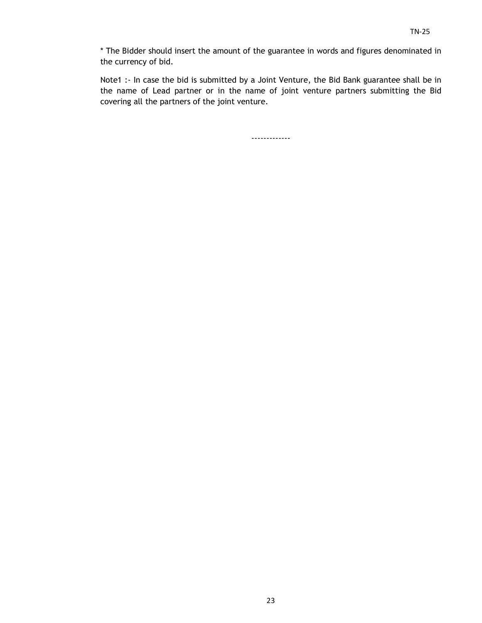\* The Bidder should insert the amount of the guarantee in words and figures denominated in the currency of bid.

Note1 :- In case the bid is submitted by a Joint Venture, the Bid Bank guarantee shall be in the name of Lead partner or in the name of joint venture partners submitting the Bid covering all the partners of the joint venture.

-------------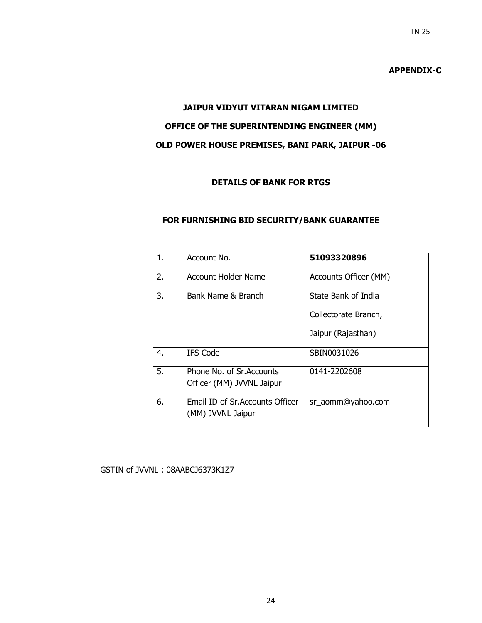# **APPENDIX-C**

# **JAIPUR VIDYUT VITARAN NIGAM LIMITED OFFICE OF THE SUPERINTENDING ENGINEER (MM) OLD POWER HOUSE PREMISES, BANI PARK, JAIPUR -06**

# **DETAILS OF BANK FOR RTGS**

#### **FOR FURNISHING BID SECURITY/BANK GUARANTEE**

| 1. | Account No.                                           | 51093320896           |
|----|-------------------------------------------------------|-----------------------|
| 2. | Account Holder Name                                   | Accounts Officer (MM) |
| 3. | Bank Name & Branch                                    | State Bank of India   |
|    |                                                       | Collectorate Branch,  |
|    |                                                       | Jaipur (Rajasthan)    |
| 4. | <b>IFS Code</b>                                       | SBIN0031026           |
| 5. | Phone No. of Sr.Accounts<br>Officer (MM) JVVNL Jaipur | 0141-2202608          |
|    |                                                       |                       |
| 6. | Email ID of Sr. Accounts Officer<br>(MM) JVVNL Jaipur | sr_aomm@yahoo.com     |

#### GSTIN of JVVNL : 08AABCJ6373K1Z7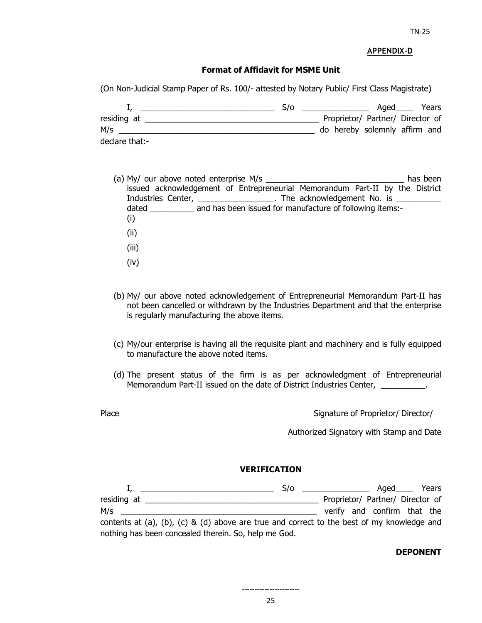#### **APPENDIX-D**

#### **Format of Affidavit for MSME Unit**

(On Non-Judicial Stamp Paper of Rs. 100/- attested by Notary Public/ First Class Magistrate)

|                | S/o |                                  | Aaed | Years |
|----------------|-----|----------------------------------|------|-------|
| residing at    |     | Proprietor/ Partner/ Director of |      |       |
| M/s            |     | do hereby solemnly affirm and    |      |       |
| declare that:- |     |                                  |      |       |

- (a) My/ our above noted enterprise M/s  $\blacksquare$ issued acknowledgement of Entrepreneurial Memorandum Part-II by the District Industries Center, \_\_\_\_\_\_\_\_\_\_\_\_\_\_\_\_\_\_. The acknowledgement No. is \_\_\_\_\_\_\_\_\_\_\_\_\_\_ dated and has been issued for manufacture of following items:-(i) (ii) (iii) (iv)
- (b) My/ our above noted acknowledgement of Entrepreneurial Memorandum Part-II has not been cancelled or withdrawn by the Industries Department and that the enterprise is regularly manufacturing the above items.
- (c) My/our enterprise is having all the requisite plant and machinery and is fully equipped to manufacture the above noted items.
- (d) The present status of the firm is as per acknowledgment of Entrepreneurial Memorandum Part-II issued on the date of District Industries Center, \_\_\_\_\_\_\_\_\_\_\_.
- 

Place **Proprietor/** Director/ Director/ Director/ Director/ Director/ Director/ Director/ Director/ Director/ Director/ Director/ Director/ Director/ Director/ Director/ Director/ Director/ Director/ Director/ Director/ Di

Authorized Signatory with Stamp and Date

#### **VERIFICATION**

|                                                                                            | S/O | the control of the control of the control of | $A$ qed $\_\_$                   | Years |
|--------------------------------------------------------------------------------------------|-----|----------------------------------------------|----------------------------------|-------|
| residing at                                                                                |     |                                              | Proprietor/ Partner/ Director of |       |
| M/s                                                                                        |     |                                              | verify and confirm that the      |       |
| contents at (a), (b), (c) & (d) above are true and correct to the best of my knowledge and |     |                                              |                                  |       |
| nothing has been concealed therein. So, help me God.                                       |     |                                              |                                  |       |

#### **DEPONENT**

-----------------------

25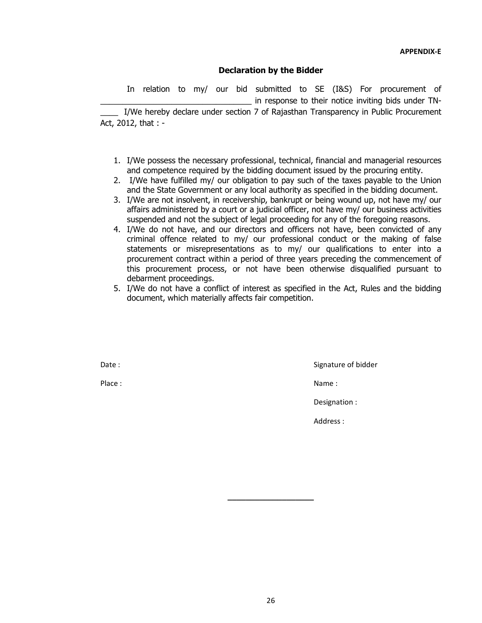#### **Declaration by the Bidder**

 In relation to my/ our bid submitted to SE (I&S) For procurement of in response to their notice inviting bids under TN-I/We hereby declare under section 7 of Rajasthan Transparency in Public Procurement

Act, 2012, that : -

- 1. I/We possess the necessary professional, technical, financial and managerial resources and competence required by the bidding document issued by the procuring entity.
- 2. I/We have fulfilled my/ our obligation to pay such of the taxes payable to the Union and the State Government or any local authority as specified in the bidding document.
- 3. I/We are not insolvent, in receivership, bankrupt or being wound up, not have my/ our affairs administered by a court or a judicial officer, not have my/ our business activities suspended and not the subject of legal proceeding for any of the foregoing reasons.
- 4. I/We do not have, and our directors and officers not have, been convicted of any criminal offence related to my/ our professional conduct or the making of false statements or misrepresentations as to my/ our qualifications to enter into a procurement contract within a period of three years preceding the commencement of this procurement process, or not have been otherwise disqualified pursuant to debarment proceedings.
- 5. I/We do not have a conflict of interest as specified in the Act, Rules and the bidding document, which materially affects fair competition.

Date : Signature of bidder

Place : Name : Name : Name : Name : Name : Name : Name : Name : Name : Name : Name : Name : Name : Name :  $\mathbb{R}^2$ 

Designation :

Address :

**\_\_\_\_\_\_\_\_\_\_\_\_\_\_\_\_\_\_\_**